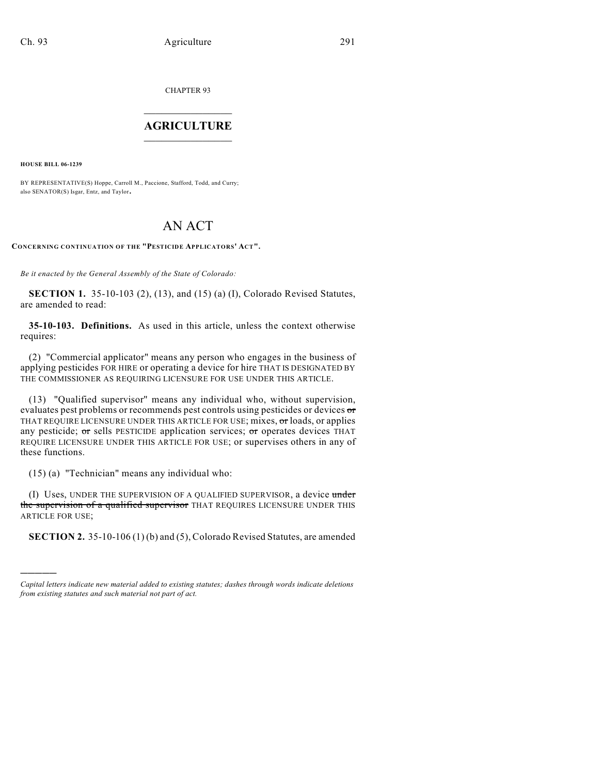CHAPTER 93

## $\mathcal{L}_\text{max}$  . The set of the set of the set of the set of the set of the set of the set of the set of the set of the set of the set of the set of the set of the set of the set of the set of the set of the set of the set **AGRICULTURE**  $\_$   $\_$   $\_$   $\_$   $\_$   $\_$   $\_$   $\_$

**HOUSE BILL 06-1239**

)))))

BY REPRESENTATIVE(S) Hoppe, Carroll M., Paccione, Stafford, Todd, and Curry; also SENATOR(S) Isgar, Entz, and Taylor.

## AN ACT

**CONCERNING CONTINUATION OF THE "PESTICIDE APPLICATORS' ACT".**

*Be it enacted by the General Assembly of the State of Colorado:*

**SECTION 1.** 35-10-103 (2), (13), and (15) (a) (I), Colorado Revised Statutes, are amended to read:

**35-10-103. Definitions.** As used in this article, unless the context otherwise requires:

(2) "Commercial applicator" means any person who engages in the business of applying pesticides FOR HIRE or operating a device for hire THAT IS DESIGNATED BY THE COMMISSIONER AS REQUIRING LICENSURE FOR USE UNDER THIS ARTICLE.

(13) "Qualified supervisor" means any individual who, without supervision, evaluates pest problems or recommends pest controls using pesticides or devices or THAT REQUIRE LICENSURE UNDER THIS ARTICLE FOR USE; mixes, or loads, or applies any pesticide;  $\sigma$ r sells PESTICIDE application services;  $\sigma$ r operates devices THAT REQUIRE LICENSURE UNDER THIS ARTICLE FOR USE; or supervises others in any of these functions.

(15) (a) "Technician" means any individual who:

(I) Uses, UNDER THE SUPERVISION OF A QUALIFIED SUPERVISOR, a device under the supervision of a qualified supervisor THAT REQUIRES LICENSURE UNDER THIS ARTICLE FOR USE;

**SECTION 2.** 35-10-106 (1) (b) and (5), Colorado Revised Statutes, are amended

*Capital letters indicate new material added to existing statutes; dashes through words indicate deletions from existing statutes and such material not part of act.*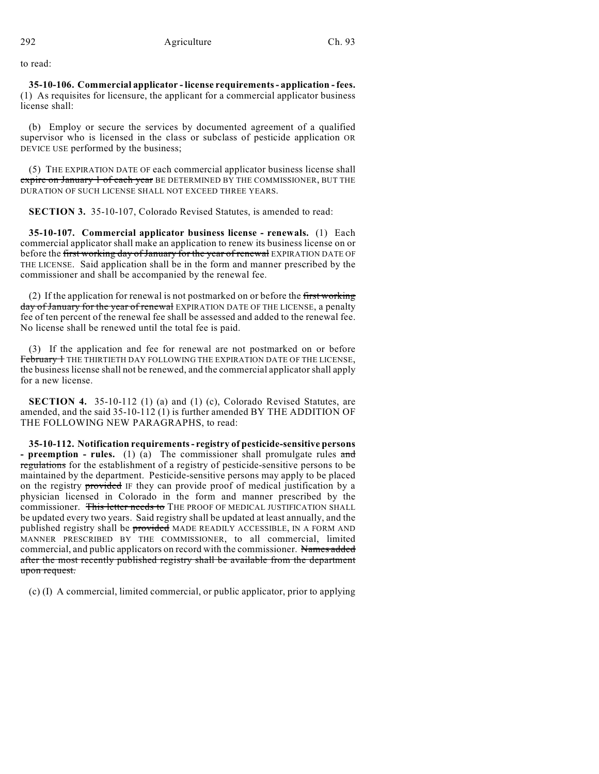to read:

**35-10-106. Commercial applicator - license requirements - application - fees.** (1) As requisites for licensure, the applicant for a commercial applicator business license shall:

(b) Employ or secure the services by documented agreement of a qualified supervisor who is licensed in the class or subclass of pesticide application OR DEVICE USE performed by the business;

(5) THE EXPIRATION DATE OF each commercial applicator business license shall expire on January 1 of each year BE DETERMINED BY THE COMMISSIONER, BUT THE DURATION OF SUCH LICENSE SHALL NOT EXCEED THREE YEARS.

**SECTION 3.** 35-10-107, Colorado Revised Statutes, is amended to read:

**35-10-107. Commercial applicator business license - renewals.** (1) Each commercial applicator shall make an application to renew its business license on or before the first working day of January for the year of renewal EXPIRATION DATE OF THE LICENSE. Said application shall be in the form and manner prescribed by the commissioner and shall be accompanied by the renewal fee.

(2) If the application for renewal is not postmarked on or before the first working day of January for the year of renewal EXPIRATION DATE OF THE LICENSE, a penalty fee of ten percent of the renewal fee shall be assessed and added to the renewal fee. No license shall be renewed until the total fee is paid.

(3) If the application and fee for renewal are not postmarked on or before February + THE THIRTIETH DAY FOLLOWING THE EXPIRATION DATE OF THE LICENSE, the business license shall not be renewed, and the commercial applicator shall apply for a new license.

**SECTION 4.** 35-10-112 (1) (a) and (1) (c), Colorado Revised Statutes, are amended, and the said 35-10-112 (1) is further amended BY THE ADDITION OF THE FOLLOWING NEW PARAGRAPHS, to read:

**35-10-112. Notification requirements - registry of pesticide-sensitive persons - preemption - rules.** (1) (a) The commissioner shall promulgate rules and regulations for the establishment of a registry of pesticide-sensitive persons to be maintained by the department. Pesticide-sensitive persons may apply to be placed on the registry provided IF they can provide proof of medical justification by a physician licensed in Colorado in the form and manner prescribed by the commissioner. This letter needs to THE PROOF OF MEDICAL JUSTIFICATION SHALL be updated every two years. Said registry shall be updated at least annually, and the published registry shall be provided MADE READILY ACCESSIBLE, IN A FORM AND MANNER PRESCRIBED BY THE COMMISSIONER, to all commercial, limited commercial, and public applicators on record with the commissioner. Names added after the most recently published registry shall be available from the department upon request.

(c) (I) A commercial, limited commercial, or public applicator, prior to applying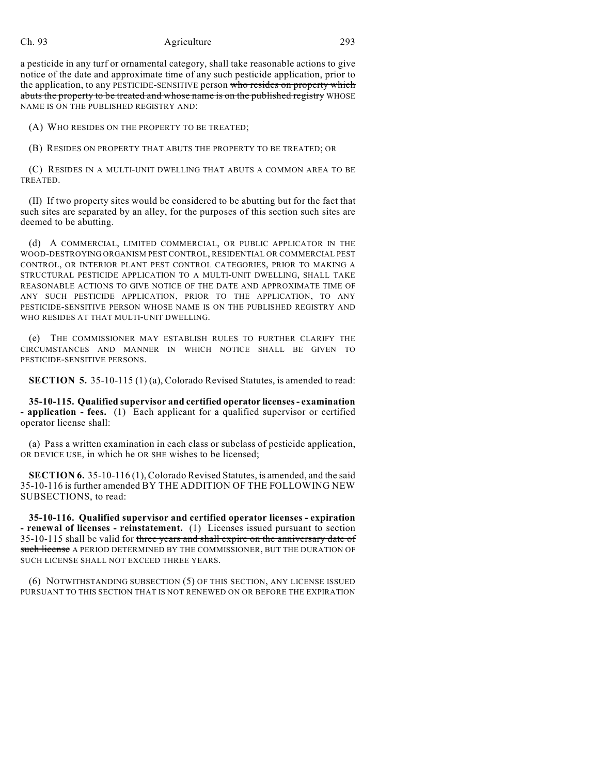## Ch. 93 Agriculture 293

a pesticide in any turf or ornamental category, shall take reasonable actions to give notice of the date and approximate time of any such pesticide application, prior to the application, to any PESTICIDE-SENSITIVE person who resides on property which abuts the property to be treated and whose name is on the published registry WHOSE NAME IS ON THE PUBLISHED REGISTRY AND:

(A) WHO RESIDES ON THE PROPERTY TO BE TREATED;

(B) RESIDES ON PROPERTY THAT ABUTS THE PROPERTY TO BE TREATED; OR

(C) RESIDES IN A MULTI-UNIT DWELLING THAT ABUTS A COMMON AREA TO BE TREATED.

(II) If two property sites would be considered to be abutting but for the fact that such sites are separated by an alley, for the purposes of this section such sites are deemed to be abutting.

(d) A COMMERCIAL, LIMITED COMMERCIAL, OR PUBLIC APPLICATOR IN THE WOOD-DESTROYING ORGANISM PEST CONTROL, RESIDENTIAL OR COMMERCIAL PEST CONTROL, OR INTERIOR PLANT PEST CONTROL CATEGORIES, PRIOR TO MAKING A STRUCTURAL PESTICIDE APPLICATION TO A MULTI-UNIT DWELLING, SHALL TAKE REASONABLE ACTIONS TO GIVE NOTICE OF THE DATE AND APPROXIMATE TIME OF ANY SUCH PESTICIDE APPLICATION, PRIOR TO THE APPLICATION, TO ANY PESTICIDE-SENSITIVE PERSON WHOSE NAME IS ON THE PUBLISHED REGISTRY AND WHO RESIDES AT THAT MULTI-UNIT DWELLING.

(e) THE COMMISSIONER MAY ESTABLISH RULES TO FURTHER CLARIFY THE CIRCUMSTANCES AND MANNER IN WHICH NOTICE SHALL BE GIVEN TO PESTICIDE-SENSITIVE PERSONS.

**SECTION 5.** 35-10-115 (1) (a), Colorado Revised Statutes, is amended to read:

**35-10-115. Qualified supervisor and certified operator licenses - examination - application - fees.** (1) Each applicant for a qualified supervisor or certified operator license shall:

(a) Pass a written examination in each class or subclass of pesticide application, OR DEVICE USE, in which he OR SHE wishes to be licensed;

**SECTION 6.** 35-10-116 (1), Colorado Revised Statutes, is amended, and the said 35-10-116 is further amended BY THE ADDITION OF THE FOLLOWING NEW SUBSECTIONS, to read:

**35-10-116. Qualified supervisor and certified operator licenses - expiration - renewal of licenses - reinstatement.** (1) Licenses issued pursuant to section 35-10-115 shall be valid for three years and shall expire on the anniversary date of such license A PERIOD DETERMINED BY THE COMMISSIONER, BUT THE DURATION OF SUCH LICENSE SHALL NOT EXCEED THREE YEARS.

(6) NOTWITHSTANDING SUBSECTION (5) OF THIS SECTION, ANY LICENSE ISSUED PURSUANT TO THIS SECTION THAT IS NOT RENEWED ON OR BEFORE THE EXPIRATION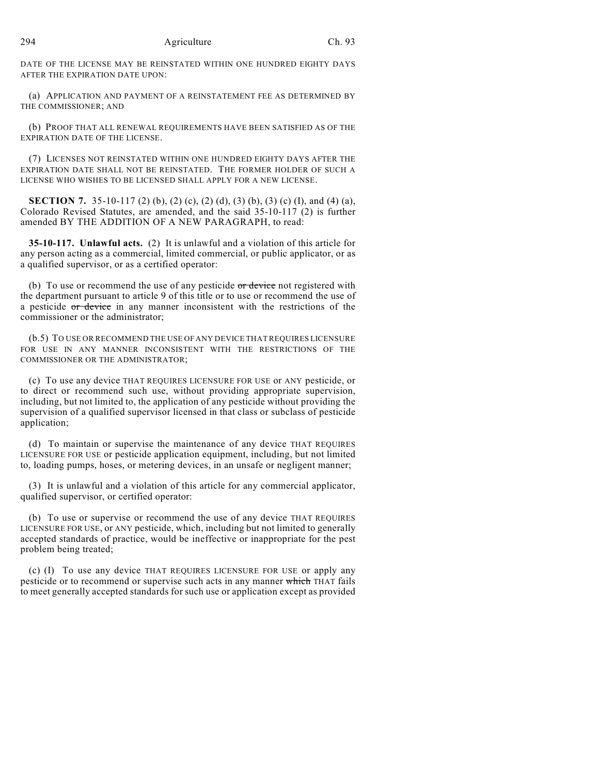DATE OF THE LICENSE MAY BE REINSTATED WITHIN ONE HUNDRED EIGHTY DAYS AFTER THE EXPIRATION DATE UPON:

(a) APPLICATION AND PAYMENT OF A REINSTATEMENT FEE AS DETERMINED BY THE COMMISSIONER; AND

(b) PROOF THAT ALL RENEWAL REQUIREMENTS HAVE BEEN SATISFIED AS OF THE EXPIRATION DATE OF THE LICENSE.

(7) LICENSES NOT REINSTATED WITHIN ONE HUNDRED EIGHTY DAYS AFTER THE EXPIRATION DATE SHALL NOT BE REINSTATED. THE FORMER HOLDER OF SUCH A LICENSE WHO WISHES TO BE LICENSED SHALL APPLY FOR A NEW LICENSE.

**SECTION 7.** 35-10-117 (2) (b), (2) (c), (2) (d), (3) (b), (3) (c) (I), and (4) (a), Colorado Revised Statutes, are amended, and the said 35-10-117 (2) is further amended BY THE ADDITION OF A NEW PARAGRAPH, to read:

**35-10-117. Unlawful acts.** (2) It is unlawful and a violation of this article for any person acting as a commercial, limited commercial, or public applicator, or as a qualified supervisor, or as a certified operator:

(b) To use or recommend the use of any pesticide  $\sigma r$  device not registered with the department pursuant to article 9 of this title or to use or recommend the use of a pesticide or device in any manner inconsistent with the restrictions of the commissioner or the administrator;

(b.5) TO USE OR RECOMMEND THE USE OF ANY DEVICE THAT REQUIRES LICENSURE FOR USE IN ANY MANNER INCONSISTENT WITH THE RESTRICTIONS OF THE COMMISSIONER OR THE ADMINISTRATOR;

(c) To use any device THAT REQUIRES LICENSURE FOR USE or ANY pesticide, or to direct or recommend such use, without providing appropriate supervision, including, but not limited to, the application of any pesticide without providing the supervision of a qualified supervisor licensed in that class or subclass of pesticide application;

(d) To maintain or supervise the maintenance of any device THAT REQUIRES LICENSURE FOR USE or pesticide application equipment, including, but not limited to, loading pumps, hoses, or metering devices, in an unsafe or negligent manner;

(3) It is unlawful and a violation of this article for any commercial applicator, qualified supervisor, or certified operator:

(b) To use or supervise or recommend the use of any device THAT REQUIRES LICENSURE FOR USE, or ANY pesticide, which, including but not limited to generally accepted standards of practice, would be ineffective or inappropriate for the pest problem being treated;

(c) (I) To use any device THAT REQUIRES LICENSURE FOR USE or apply any pesticide or to recommend or supervise such acts in any manner which THAT fails to meet generally accepted standards for such use or application except as provided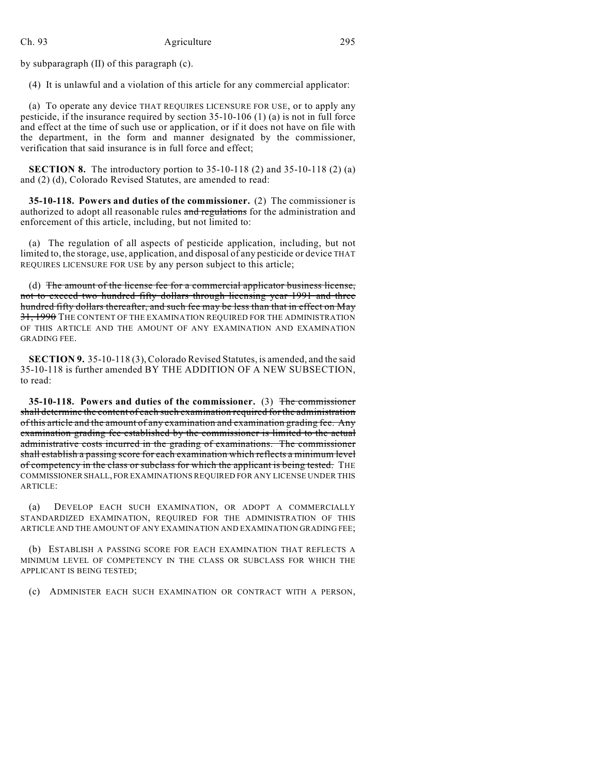## Ch. 93 Agriculture 295

by subparagraph (II) of this paragraph (c).

(4) It is unlawful and a violation of this article for any commercial applicator:

(a) To operate any device THAT REQUIRES LICENSURE FOR USE, or to apply any pesticide, if the insurance required by section 35-10-106 (1) (a) is not in full force and effect at the time of such use or application, or if it does not have on file with the department, in the form and manner designated by the commissioner, verification that said insurance is in full force and effect;

**SECTION 8.** The introductory portion to 35-10-118 (2) and 35-10-118 (2) (a) and (2) (d), Colorado Revised Statutes, are amended to read:

**35-10-118. Powers and duties of the commissioner.** (2) The commissioner is authorized to adopt all reasonable rules and regulations for the administration and enforcement of this article, including, but not limited to:

(a) The regulation of all aspects of pesticide application, including, but not limited to, the storage, use, application, and disposal of any pesticide or device THAT REQUIRES LICENSURE FOR USE by any person subject to this article;

(d) The amount of the license fee for a commercial applicator business license, not to exceed two hundred fifty dollars through licensing year 1991 and three hundred fifty dollars thereafter, and such fee may be less than that in effect on May 31, 1990 THE CONTENT OF THE EXAMINATION REQUIRED FOR THE ADMINISTRATION OF THIS ARTICLE AND THE AMOUNT OF ANY EXAMINATION AND EXAMINATION GRADING FEE.

**SECTION 9.** 35-10-118 (3), Colorado Revised Statutes, is amended, and the said 35-10-118 is further amended BY THE ADDITION OF A NEW SUBSECTION, to read:

**35-10-118. Powers and duties of the commissioner.** (3) The commissioner shall determine the content of each such examination required for the administration of this article and the amount of any examination and examination grading fee. Any examination grading fee established by the commissioner is limited to the actual administrative costs incurred in the grading of examinations. The commissioner shall establish a passing score for each examination which reflects a minimum level of competency in the class or subclass for which the applicant is being tested. THE COMMISSIONER SHALL, FOR EXAMINATIONS REQUIRED FOR ANY LICENSE UNDER THIS ARTICLE:

(a) DEVELOP EACH SUCH EXAMINATION, OR ADOPT A COMMERCIALLY STANDARDIZED EXAMINATION, REQUIRED FOR THE ADMINISTRATION OF THIS ARTICLE AND THE AMOUNT OF ANY EXAMINATION AND EXAMINATION GRADING FEE;

(b) ESTABLISH A PASSING SCORE FOR EACH EXAMINATION THAT REFLECTS A MINIMUM LEVEL OF COMPETENCY IN THE CLASS OR SUBCLASS FOR WHICH THE APPLICANT IS BEING TESTED;

(c) ADMINISTER EACH SUCH EXAMINATION OR CONTRACT WITH A PERSON,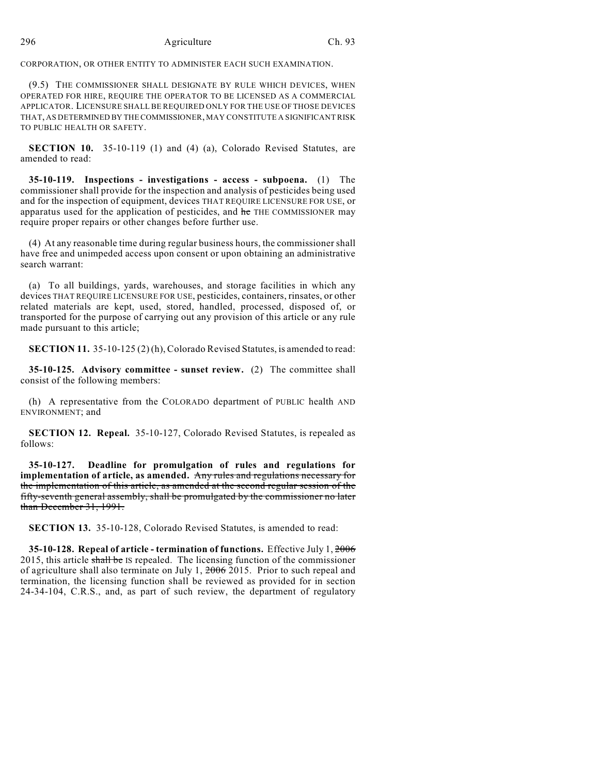CORPORATION, OR OTHER ENTITY TO ADMINISTER EACH SUCH EXAMINATION.

(9.5) THE COMMISSIONER SHALL DESIGNATE BY RULE WHICH DEVICES, WHEN OPERATED FOR HIRE, REQUIRE THE OPERATOR TO BE LICENSED AS A COMMERCIAL APPLICATOR. LICENSURE SHALL BE REQUIRED ONLY FOR THE USE OF THOSE DEVICES THAT, AS DETERMINED BY THE COMMISSIONER, MAY CONSTITUTE A SIGNIFICANT RISK TO PUBLIC HEALTH OR SAFETY.

**SECTION 10.** 35-10-119 (1) and (4) (a), Colorado Revised Statutes, are amended to read:

**35-10-119. Inspections - investigations - access - subpoena.** (1) The commissioner shall provide for the inspection and analysis of pesticides being used and for the inspection of equipment, devices THAT REQUIRE LICENSURE FOR USE, or apparatus used for the application of pesticides, and  $he$  THE COMMISSIONER may require proper repairs or other changes before further use.

(4) At any reasonable time during regular business hours, the commissioner shall have free and unimpeded access upon consent or upon obtaining an administrative search warrant:

(a) To all buildings, yards, warehouses, and storage facilities in which any devices THAT REQUIRE LICENSURE FOR USE, pesticides, containers, rinsates, or other related materials are kept, used, stored, handled, processed, disposed of, or transported for the purpose of carrying out any provision of this article or any rule made pursuant to this article;

**SECTION 11.** 35-10-125 (2) (h), Colorado Revised Statutes, is amended to read:

**35-10-125. Advisory committee - sunset review.** (2) The committee shall consist of the following members:

(h) A representative from the COLORADO department of PUBLIC health AND ENVIRONMENT; and

**SECTION 12. Repeal.** 35-10-127, Colorado Revised Statutes, is repealed as follows:

**35-10-127. Deadline for promulgation of rules and regulations for implementation of article, as amended.** Any rules and regulations necessary for the implementation of this article, as amended at the second regular session of the fifty-seventh general assembly, shall be promulgated by the commissioner no later than December 31, 1991.

**SECTION 13.** 35-10-128, Colorado Revised Statutes, is amended to read:

**35-10-128. Repeal of article - termination of functions.** Effective July 1, 2006 2015, this article shall be IS repealed. The licensing function of the commissioner of agriculture shall also terminate on July 1, 2006 2015. Prior to such repeal and termination, the licensing function shall be reviewed as provided for in section 24-34-104, C.R.S., and, as part of such review, the department of regulatory